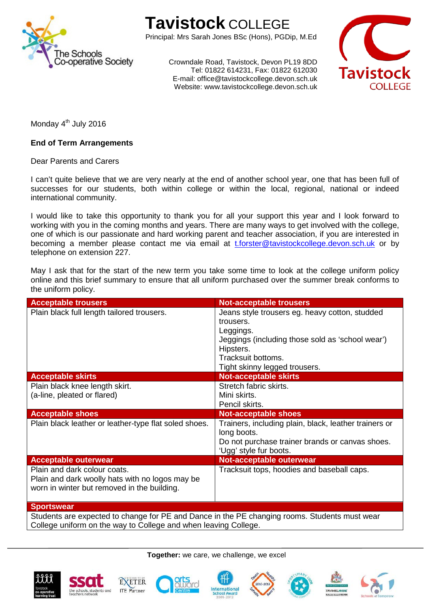

## **Tavistock** COLLEGE

Principal: Mrs Sarah Jones BSc (Hons), PGDip, M.Ed

Crowndale Road, Tavistock, Devon PL19 8DD Tel: 01822 614231, Fax: 01822 612030 E-mail: office@tavistockcollege.devon.sch.uk Website: www.tavistockcollege.devon.sch.uk



Monday 4<sup>th</sup> July 2016

## **End of Term Arrangements**

Dear Parents and Carers

I can't quite believe that we are very nearly at the end of another school year, one that has been full of successes for our students, both within college or within the local, regional, national or indeed international community.

I would like to take this opportunity to thank you for all your support this year and I look forward to working with you in the coming months and years. There are many ways to get involved with the college, one of which is our passionate and hard working parent and teacher association, if you are interested in becoming a member please contact me via email at [t.forster@tavistockcollege.devon.sch.uk](mailto:t.forster@tavistockcollege.devon.sch.uk) or by telephone on extension 227.

May I ask that for the start of the new term you take some time to look at the college uniform policy online and this brief summary to ensure that all uniform purchased over the summer break conforms to the uniform policy.

| <b>Acceptable trousers</b>                                                                                                     | <b>Not-acceptable trousers</b>                                                                                                                                                                   |
|--------------------------------------------------------------------------------------------------------------------------------|--------------------------------------------------------------------------------------------------------------------------------------------------------------------------------------------------|
| Plain black full length tailored trousers.                                                                                     | Jeans style trousers eg. heavy cotton, studded<br>trousers.<br>Leggings.<br>Jeggings (including those sold as 'school wear')<br>Hipsters.<br>Tracksuit bottoms.<br>Tight skinny legged trousers. |
| <b>Acceptable skirts</b>                                                                                                       | <b>Not-acceptable skirts</b>                                                                                                                                                                     |
| Plain black knee length skirt.<br>(a-line, pleated or flared)                                                                  | Stretch fabric skirts.<br>Mini skirts.<br>Pencil skirts.                                                                                                                                         |
| <b>Acceptable shoes</b>                                                                                                        | <b>Not-acceptable shoes</b>                                                                                                                                                                      |
| Plain black leather or leather-type flat soled shoes.                                                                          | Trainers, including plain, black, leather trainers or<br>long boots.<br>Do not purchase trainer brands or canvas shoes.<br>'Ugg' style fur boots.                                                |
| <b>Acceptable outerwear</b>                                                                                                    | Not-acceptable outerwear                                                                                                                                                                         |
| Plain and dark colour coats.<br>Plain and dark woolly hats with no logos may be<br>worn in winter but removed in the building. | Tracksuit tops, hoodies and baseball caps.                                                                                                                                                       |
| <b>Sportswear</b>                                                                                                              |                                                                                                                                                                                                  |

Students are expected to change for PE and Dance in the PE changing rooms. Students must wear College uniform on the way to College and when leaving College.

**Together:** we care, we challenge, we excel